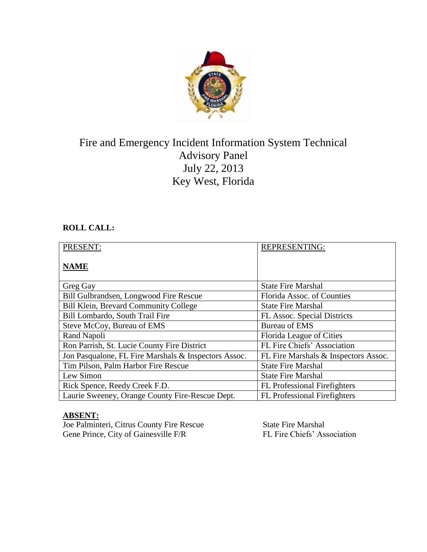

# Fire and Emergency Incident Information System Technical Advisory Panel July 22, 2013 Key West, Florida

# **ROLL CALL:**

| PRESENT:                                             | <b>REPRESENTING:</b>                 |
|------------------------------------------------------|--------------------------------------|
| <b>NAME</b>                                          |                                      |
| Greg Gay                                             | <b>State Fire Marshal</b>            |
| Bill Gulbrandsen, Longwood Fire Rescue               | Florida Assoc. of Counties           |
| Bill Klein, Brevard Community College                | <b>State Fire Marshal</b>            |
| Bill Lombardo, South Trail Fire                      | FL Assoc. Special Districts          |
| Steve McCoy, Bureau of EMS                           | <b>Bureau of EMS</b>                 |
| Rand Napoli                                          | Florida League of Cities             |
| Ron Parrish, St. Lucie County Fire District          | FL Fire Chiefs' Association          |
| Jon Pasqualone, FL Fire Marshals & Inspectors Assoc. | FL Fire Marshals & Inspectors Assoc. |
| Tim Pilson, Palm Harbor Fire Rescue                  | <b>State Fire Marshal</b>            |
| Lew Simon                                            | <b>State Fire Marshal</b>            |
| Rick Spence, Reedy Creek F.D.                        | <b>FL</b> Professional Firefighters  |
| Laurie Sweeney, Orange County Fire-Rescue Dept.      | <b>FL</b> Professional Firefighters  |

## **ABSENT:**

Joe Palminteri, Citrus County Fire Rescue State Fire Marshal Gene Prince, City of Gainesville F/R FL Fire Chiefs' Association